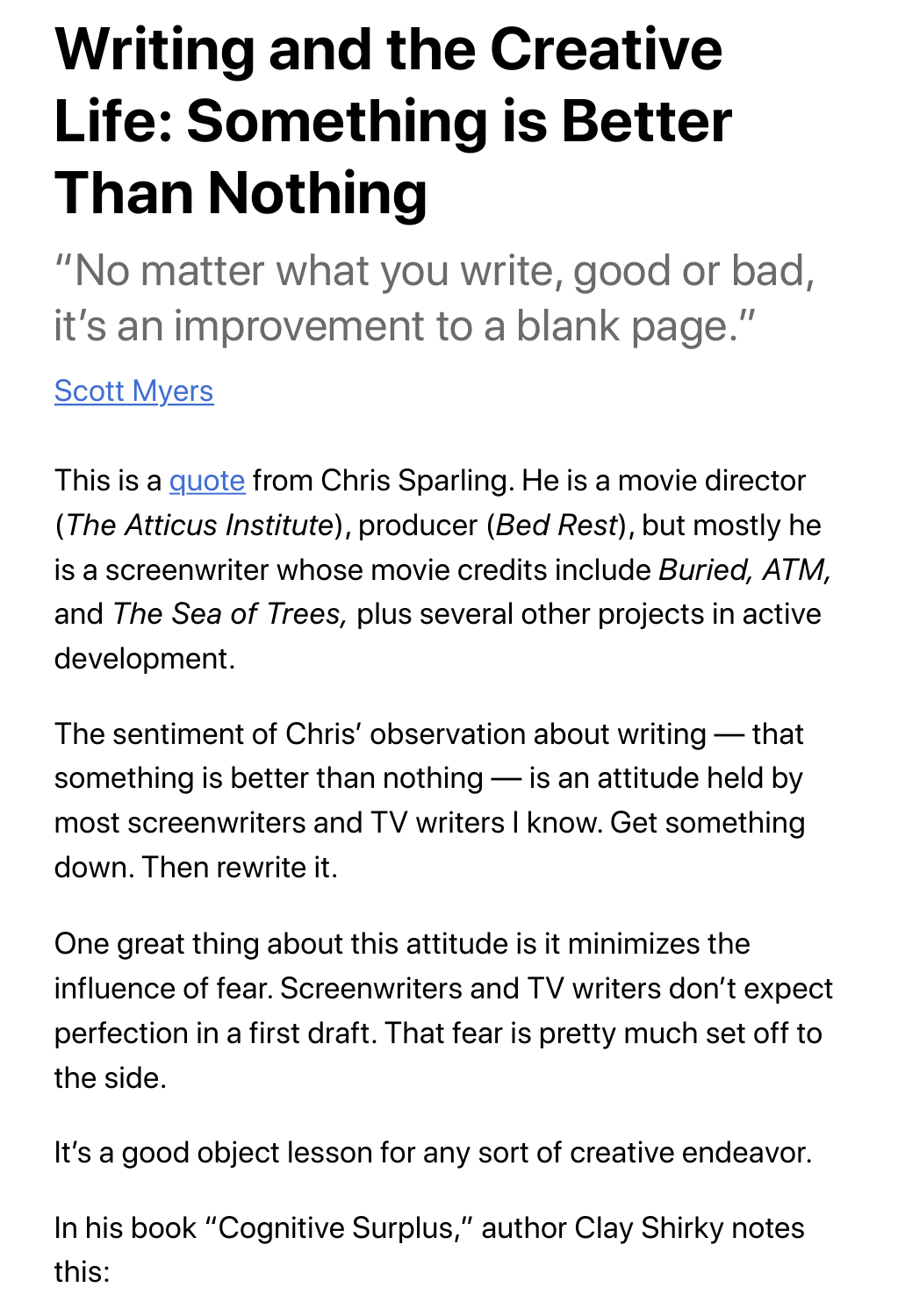## **Writing and the Creative Life: Something is Better Than Nothing**

"No matter what you write, good or bad, it's an improvement to a blank page."

**Scott Myers** 

This is a quote from Chris Sparling. He is a movie director (*The Att[icus In](http://gointothestory.blcklst.com/2013/04/on-writing-86.html)stitute*), producer (*Bed Rest*), but mostly he is a screenwriter whose movie credits include *Buried, ATM,* and *The Sea of Trees,* plus several other projects in active development.

The sentiment of Chris' observation about writing — that something is better than nothing — is an attitude held by most screenwriters and TV writers I know. Get something down. Then rewrite it.

One great thing about this attitude is it minimizes the influence of fear. Screenwriters and TV writers don't expect perfection in a first draft. That fear is pretty much set off to the side.

It's a good object lesson for any sort of creative endeavor.

In his book "Cognitive Surplus," author Clay Shirky notes this: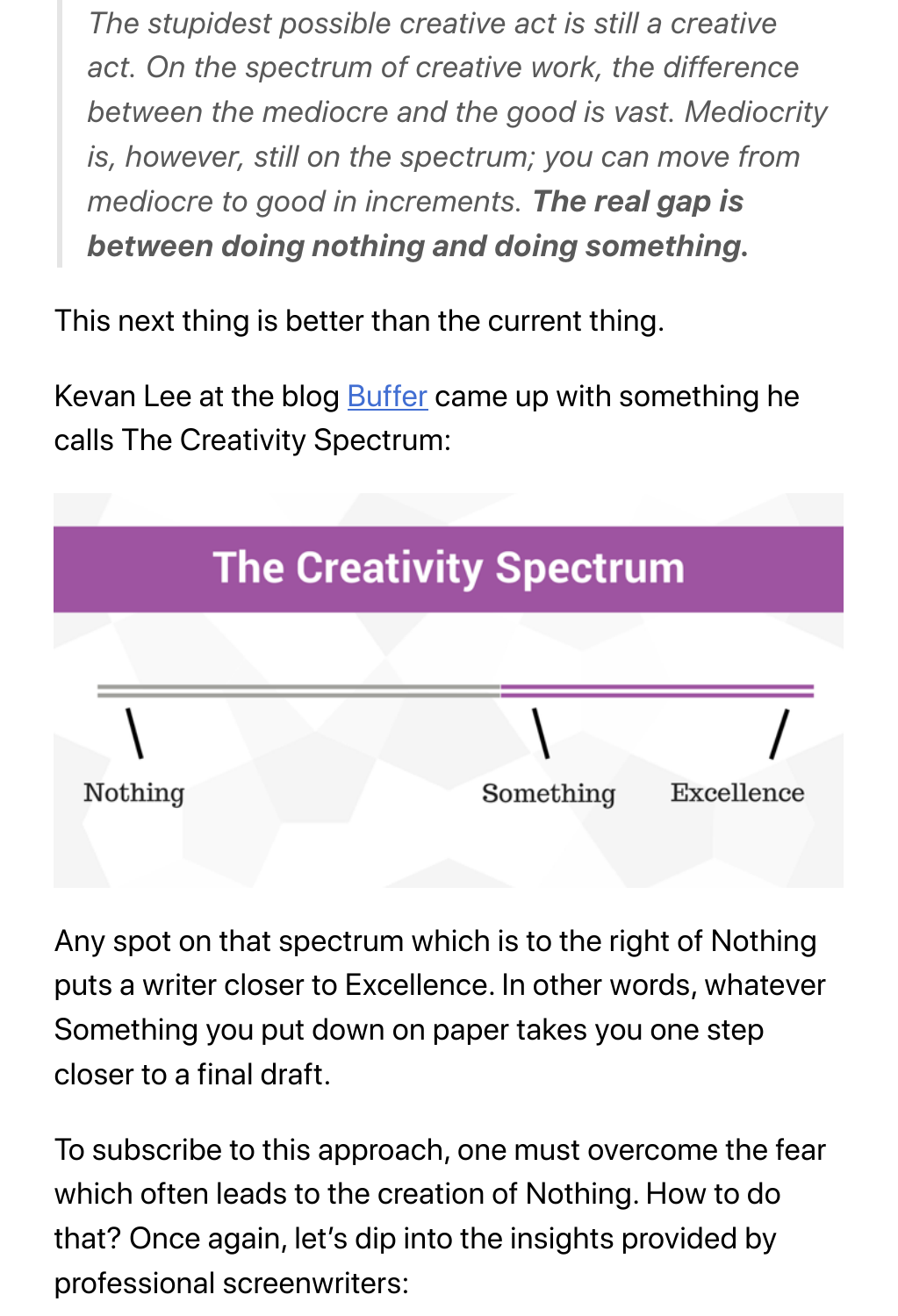*act. On the spectrum of creative work, the difference between the mediocre and the good is vast. Mediocrity is, however, still on the spectrum; you can move from mediocre to good in increments. The real gap is between doing nothing and doing something.*

This next thing is better than the current thing.

Kevan Lee at the blog **Buffer** came up with something he calls The Creativity S[pectrum](https://open.buffer.com/creativity-advice/):



Any spot on that spectrum which is to the right of Nothing puts a writer closer to Excellence. In other words, whatever Something you put down on paper takes you one step closer to a final draft.

To subscribe to this approach, one must overcome the fear which often leads to the creation of Nothing. How to do that? Once again, let's dip into the insights provided by professional screenwriters: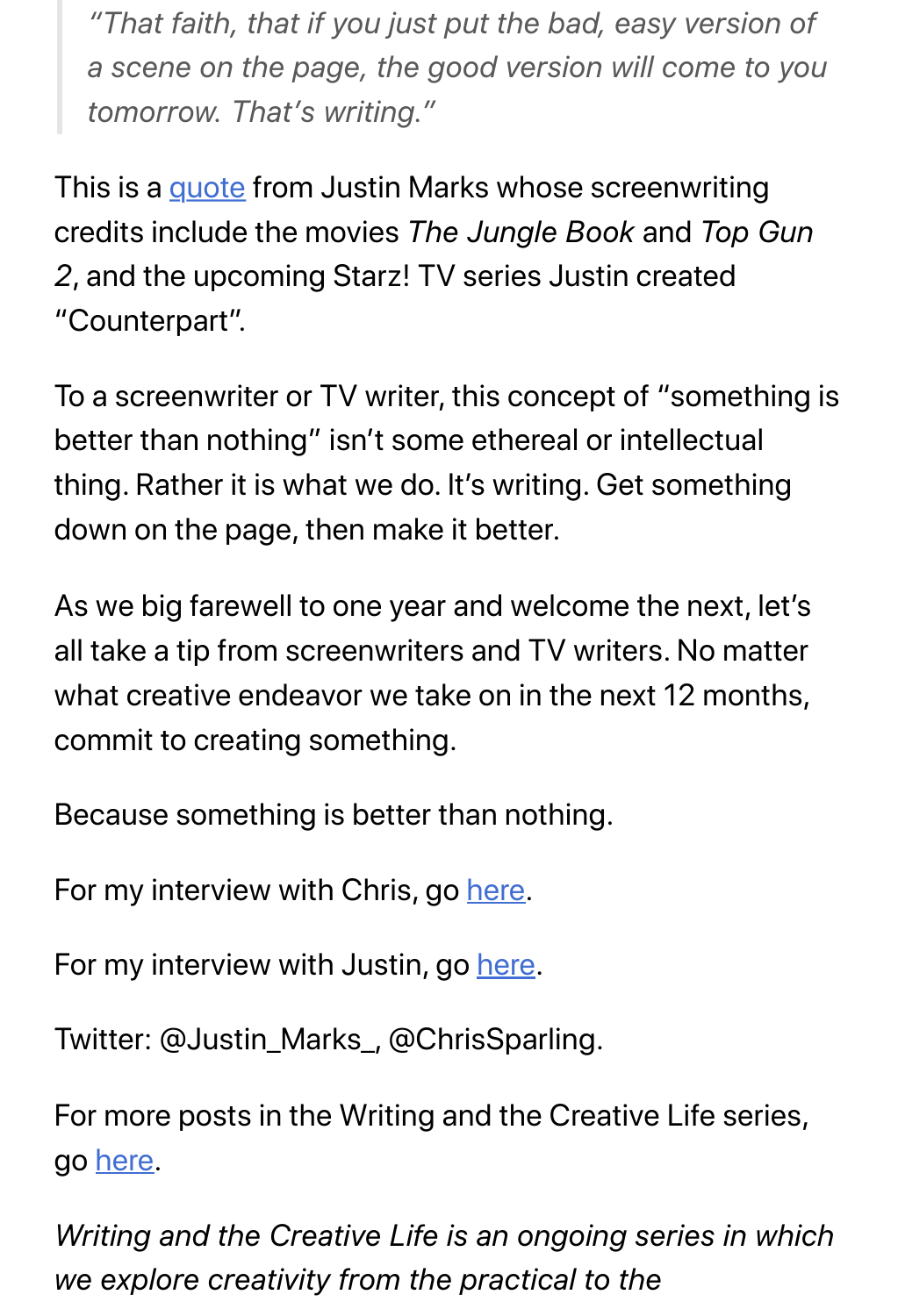*a scene on the page, the good version will come to you tomorrow. That's writing."*

This is a quote from Justin Marks whose screenwriting credits i[nclude](http://gointothestory.blcklst.com/2013/09/on-writing-108.html) the movies *The Jungle Book* and *Top Gun 2*, and the upcoming Starz! TV series Justin created "Counterpart".

To a screenwriter or TV writer, this concept of "something is better than nothing" isn't some ethereal or intellectual thing. Rather it is what we do. It's writing. Get something down on the page, then make it better.

As we big farewell to one year and welcome the next, let's all take a tip from screenwriters and TV writers. No matter what creative endeavor we take on in the next 12 months, commit to creating something.

Because something is better than nothing.

For my interview with Chris, go here.

For my interview with Justin, g[o here](http://gointothestory.blcklst.com/2012/03/qa-chris-sparling-buried.html).

Twitter: @Justin\_Marks\_, @Chri[sSpa](http://gointothestory.blcklst.com/2013/05/interview-justin-marks.html)rling.

For more posts in the Writing and the Creative Life series, go here.

*Wr[iting](https://gointothestory.blcklst.com/writing-and-the-creative-life-e2f0f6fb243a) and the Creative Life is an ongoing series in which we explore creativity from the practical to the*